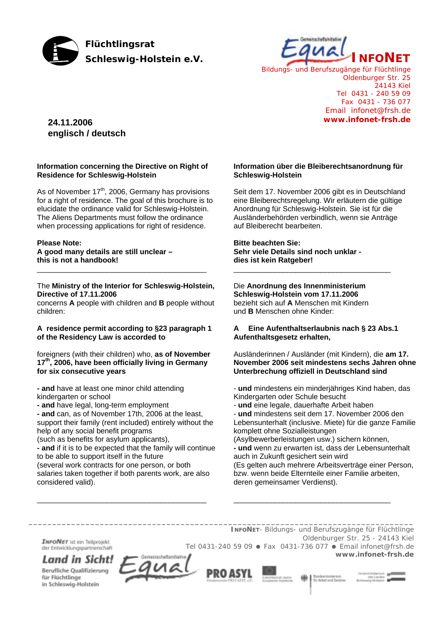



*Bildungs- und Berufszugänge für Flüchtlinge* Oldenburger Str. 25 24143 Kiel Tel 0431 - 240 59 09 Fax 0431 - 736 077 Email infonet@frsh.de **www.infonet-frsh.de**

# **24.11.2006 englisch / deutsch**

### **Information concerning the Directive on Right of Residence for Schleswig-Holstein**

As of November  $17<sup>th</sup>$ , 2006, Germany has provisions for a right of residence. The goal of this brochure is to elucidate the ordinance valid for Schleswig-Holstein. The Aliens Departments must follow the ordinance when processing applications for right of residence.

# **Please Note:**

# **A good many details are still unclear – this is not a handbook!**

### The **Ministry of the Interior for Schleswig-Holstein, Directive of 17.11.2006**

\_\_\_\_\_\_\_\_\_\_\_\_\_\_\_\_\_\_\_\_\_\_\_\_\_\_\_\_\_\_\_\_\_\_\_\_\_\_\_\_\_

concerns **A** people with children and **B** people without children:

### **A residence permit according to §23 paragraph 1 of the Residency Law is accorded to**

foreigners (with their children) who, **as of November 17th, 2006, have been officially living in Germany for six consecutive years** 

**- and** have at least one minor child attending kindergarten or school

**- and** have legal, long-term employment

**- and** can, as of November 17th, 2006 at the least, support their family (rent included) entirely without the help of any social benefit programs

(such as benefits for asylum applicants),

**- and** if it is to be expected that the family will continue to be able to support itself in the future (several work contracts for one person, or both

salaries taken together if both parents work, are also considered valid).

\_\_\_\_\_\_\_\_\_\_\_\_\_\_\_\_\_\_\_\_\_\_\_\_\_\_\_\_\_\_\_\_\_\_\_\_\_\_\_\_\_

### **Information über die Bleiberechtsanordnung für Schleswig-Holstein**

Seit dem 17. November 2006 gibt es in Deutschland eine Bleiberechtsregelung. Wir erläutern die gültige Anordnung für Schleswig-Holstein. Sie ist für die Ausländerbehörden verbindlich, wenn sie Anträge auf Bleiberecht bearbeiten.

### **Bitte beachten Sie: Sehr viele Details sind noch unklar dies ist kein Ratgeber!**

# Die **Anordnung des Innenministerium**

**Schleswig-Holstein vom 17.11.2006**  bezieht sich auf **A** Menschen mit Kindern und **B** Menschen ohne Kinder:

# **A Eine Aufenthaltserlaubnis nach § 23 Abs.1 Aufenthaltsgesetz erhalten,**

\_\_\_\_\_\_\_\_\_\_\_\_\_\_\_\_\_\_\_\_\_\_\_\_\_\_\_\_\_\_\_\_\_\_\_\_\_\_

Ausländerinnen / Ausländer (mit Kindern), die **am 17. November 2006 seit mindestens sechs Jahren ohne Unterbrechung offiziell in Deutschland sind**

- **und** mindestens ein minderjähriges Kind haben, das Kindergarten oder Schule besucht
- **und** eine legale, dauerhafte Arbeit haben

- **und** mindestens seit dem 17. November 2006 den Lebensunterhalt (inclusive. Miete) für die ganze Familie komplett ohne Sozialleistungen

(Asylbewerberleistungen usw.) sichern können,

\_\_\_\_\_\_\_\_\_\_\_\_\_\_\_\_\_\_\_\_\_\_\_\_\_\_\_\_\_\_\_\_\_\_\_\_\_\_

Bundesminister

**- und** wenn zu erwarten ist, dass der Lebensunterhalt auch in Zukunft gesichert sein wird (Es gelten auch mehrere Arbeitsverträge einer Person, bzw. wenn beide Elternteile einer Familie arbeiten,

deren gemeinsamer Verdienst).

*\_\_\_\_\_\_\_\_\_\_\_\_\_\_\_\_\_\_\_\_\_\_\_\_\_\_\_\_\_\_\_\_\_\_\_\_\_\_\_\_\_\_\_\_\_\_\_\_\_\_\_\_\_\_\_\_\_\_\_\_\_\_\_\_\_\_\_\_\_\_\_\_\_\_\_\_\_\_\_\_\_ INFONET*- *Bildungs- und Berufszugänge für Flüchtlinge* Oldenburger Str. 25 - 24143 Kiel **INFONET** ist ein Teilprojekt Tel 0431-240 59 09 · Fax 0431-736 077 · Email infonet@frsh.de der Entwicklungspartnerschaft **www.infonet-frsh.de** eisenhaftsiellistin Land in Sicht!

PRO ASYI

Berufliche Qualifizierung für Flüchtlinge in Schleswig-Holstein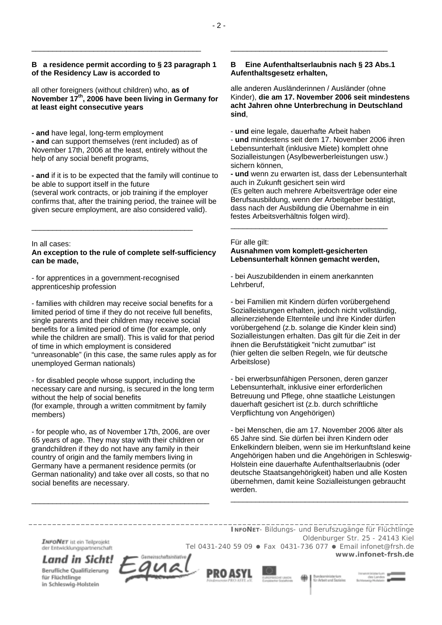# **B a residence permit according to § 23 paragraph 1 of the Residency Law is accorded to**

\_\_\_\_\_\_\_\_\_\_\_\_\_\_\_\_\_\_\_\_\_\_\_\_\_\_\_\_\_\_\_\_\_\_\_\_\_\_\_\_\_

all other foreigners (without children) who, **as of November 17th, 2006 have been living in Germany for at least eight consecutive years** 

**- and** have legal, long-term employment **- and** can support themselves (rent included) as of November 17th, 2006 at the least, entirely without the help of any social benefit programs,

**- and** if it is to be expected that the family will continue to be able to support itself in the future (several work contracts, or job training if the employer confirms that, after the training period, the trainee will be given secure employment, are also considered valid).

In all cases:

# **An exception to the rule of complete self-sufficiency can be made,**

\_\_\_\_\_\_\_\_\_\_\_\_\_\_\_\_\_\_\_\_\_\_\_\_\_\_\_\_\_\_\_\_\_\_\_\_\_\_\_

- for apprentices in a government-recognised apprenticeship profession

- families with children may receive social benefits for a limited period of time if they do not receive full benefits, single parents and their children may receive social benefits for a limited period of time (for example, only while the children are small). This is valid for that period of time in which employment is considered "unreasonable" (in this case, the same rules apply as for unemployed German nationals)

- for disabled people whose support, including the necessary care and nursing, is secured in the long term without the help of social benefits (for example, through a written commitment by family members)

- for people who, as of November 17th, 2006, are over 65 years of age. They may stay with their children or grandchildren if they do not have any family in their country of origin and the family members living in Germany have a permanent residence permits (or German nationality) and take over all costs, so that no social benefits are necessary.

\_\_\_\_\_\_\_\_\_\_\_\_\_\_\_\_\_\_\_\_\_\_\_\_\_\_\_\_\_\_\_\_\_\_\_\_\_\_\_\_\_\_\_

# **B Eine Aufenthaltserlaubnis nach § 23 Abs.1 Aufenthaltsgesetz erhalten,**

\_\_\_\_\_\_\_\_\_\_\_\_\_\_\_\_\_\_\_\_\_\_\_\_\_\_\_\_\_\_\_\_\_\_\_\_\_\_

alle anderen Ausländerinnen / Ausländer (ohne Kinder), **die am 17. November 2006 seit mindestens acht Jahren ohne Unterbrechung in Deutschland sind**,

- **und** eine legale, dauerhafte Arbeit haben

- **und** mindestens seit dem 17. November 2006 ihren Lebensunterhalt (inklusive Miete) komplett ohne Sozialleistungen (Asylbewerberleistungen usw.) sichern können,

**- und** wenn zu erwarten ist, dass der Lebensunterhalt auch in Zukunft gesichert sein wird (Es gelten auch mehrere Arbeitsverträge oder eine Berufsausbildung, wenn der Arbeitgeber bestätigt, dass nach der Ausbildung die Übernahme in ein festes Arbeitsverhältnis folgen wird). \_\_\_\_\_\_\_\_\_\_\_\_\_\_\_\_\_\_\_\_\_\_\_\_\_\_\_\_\_\_\_\_\_\_\_\_\_\_

### Für alle gilt:

# **Ausnahmen vom komplett-gesicherten Lebensunterhalt können gemacht werden,**

- bei Auszubildenden in einem anerkannten Lehrberuf,

- bei Familien mit Kindern dürfen vorübergehend Sozialleistungen erhalten, jedoch nicht vollständig, alleinerziehende Elternteile und ihre Kinder dürfen vorübergehend (z.b. solange die Kinder klein sind) Sozialleistungen erhalten. Das gilt für die Zeit in der ihnen die Berufstätigkeit "nicht zumutbar" ist (hier gelten die selben Regeln, wie für deutsche Arbeitslose)

- bei erwerbsunfähigen Personen, deren ganzer Lebensunterhalt, inklusive einer erforderlichen Betreuung und Pflege, ohne staatliche Leistungen dauerhaft gesichert ist (z.b. durch schriftliche Verpflichtung von Angehörigen)

- bei Menschen, die am 17. November 2006 älter als 65 Jahre sind. Sie dürfen bei ihren Kindern oder Enkelkindern bleiben, wenn sie im Herkunftsland keine Angehörigen haben und die Angehörigen in Schleswig-Holstein eine dauerhafte Aufenthaltserlaubnis (oder deutsche Staatsangehörigkeit) haben und alle Kosten übernehmen, damit keine Sozialleistungen gebraucht werden.

\_\_\_\_\_\_\_\_\_\_\_\_\_\_\_\_\_\_\_\_\_\_\_\_\_\_\_\_\_\_\_\_\_\_\_\_\_\_\_\_\_\_\_

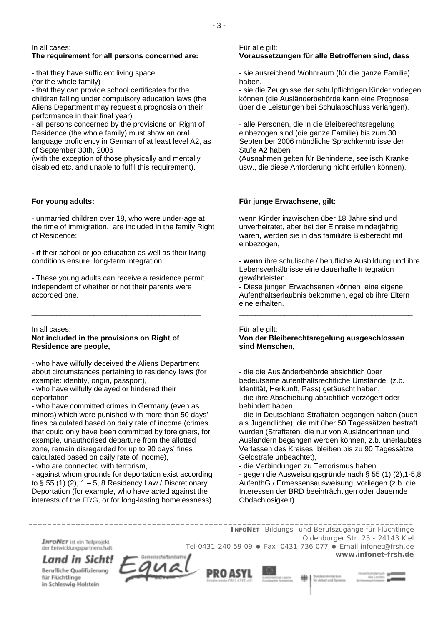In all cases:

# **The requirement for all persons concerned are:**

- that they have sufficient living space (for the whole family)

- that they can provide school certificates for the children falling under compulsory education laws (the Aliens Department may request a prognosis on their performance in their final year)

- all persons concerned by the provisions on Right of Residence (the whole family) must show an oral language proficiency in German of at least level A2, as of September 30th, 2006

(with the exception of those physically and mentally disabled etc. and unable to fulfil this requirement).

\_\_\_\_\_\_\_\_\_\_\_\_\_\_\_\_\_\_\_\_\_\_\_\_\_\_\_\_\_\_\_\_\_\_\_\_\_\_\_\_\_

#### **For young adults:**

- unmarried children over 18, who were under-age at the time of immigration, are included in the family Right of Residence:

**- if** their school or job education as well as their living conditions ensure long-term integration.

- These young adults can receive a residence permit independent of whether or not their parents were accorded one.

\_\_\_\_\_\_\_\_\_\_\_\_\_\_\_\_\_\_\_\_\_\_\_\_\_\_\_\_\_\_\_\_\_\_\_\_\_\_\_\_\_

In all cases:

### **Not included in the provisions on Right of Residence are people,**

- who have wilfully deceived the Aliens Department about circumstances pertaining to residency laws (for example: identity, origin, passport),

- who have wilfully delayed or hindered their deportation

- who have committed crimes in Germany (even as minors) which were punished with more than 50 days' fines calculated based on daily rate of income (crimes that could only have been committed by foreigners, for example, unauthorised departure from the allotted zone, remain disregarded for up to 90 days' fines calculated based on daily rate of income),

- who are connected with terrorism,

- against whom grounds for deportation exist according to  $\S$  55 (1) (2), 1 – 5, 8 Residency Law / Discretionary Deportation (for example, who have acted against the interests of the FRG, or for long-lasting homelessness).

#### Für alle gilt:

# **Voraussetzungen für alle Betroffenen sind, dass**

- sie ausreichend Wohnraum (für die ganze Familie) haben,

- sie die Zeugnisse der schulpflichtigen Kinder vorlegen können (die Ausländerbehörde kann eine Prognose über die Leistungen bei Schulabschluss verlangen),

- alle Personen, die in die Bleiberechtsregelung einbezogen sind (die ganze Familie) bis zum 30. September 2006 mündliche Sprachkenntnisse der Stufe A2 haben

(Ausnahmen gelten für Behinderte, seelisch Kranke usw., die diese Anforderung nicht erfüllen können).

\_\_\_\_\_\_\_\_\_\_\_\_\_\_\_\_\_\_\_\_\_\_\_\_\_\_\_\_\_\_\_\_\_\_\_\_\_\_\_\_\_

### **Für junge Erwachsene, gilt:**

wenn Kinder inzwischen über 18 Jahre sind und unverheiratet, aber bei der Einreise minderjährig waren, werden sie in das familiäre Bleiberecht mit einbezogen,

- **wenn** ihre schulische / berufliche Ausbildung und ihre Lebensverhältnisse eine dauerhafte Integration gewährleisten.

- Diese jungen Erwachsenen können eine eigene Aufenthaltserlaubnis bekommen, egal ob ihre Eltern eine erhalten.

\_\_\_\_\_\_\_\_\_\_\_\_\_\_\_\_\_\_\_\_\_\_\_\_\_\_\_\_\_\_\_\_\_\_\_\_\_\_\_\_\_\_

# Für alle gilt:

### **Von der Bleiberechtsregelung ausgeschlossen sind Menschen,**

- die die Ausländerbehörde absichtlich über bedeutsame aufenthaltsrechtliche Umstände (z.b. Identität, Herkunft, Pass) getäuscht haben, - die ihre Abschiebung absichtlich verzögert oder behindert haben,

- die in Deutschland Straftaten begangen haben (auch als Jugendliche), die mit über 50 Tagessätzen bestraft wurden (Straftaten, die nur von Ausländerinnen und Ausländern begangen werden können, z.b. unerlaubtes Verlassen des Kreises, bleiben bis zu 90 Tagessätze Geldstrafe unbeachtet),

- die Verbindungen zu Terrorismus haben.

- gegen die Ausweisungsgründe nach § 55 (1) (2),1-5,8 AufenthG / Ermessensausweisung, vorliegen (z.b. die Interessen der BRD beeinträchtigen oder dauernde Obdachlosigkeit).

**INFONET** ist ein Teilprojekt der Entwicklungspartnerschaft

in Schleswig-Holstein

*INFONET*- *Bildungs- und Berufszugänge für Flüchtlinge* Oldenburger Str. 25 - 24143 Kiel Tel 0431-240 59 09 · Fax 0431-736 077 · Email infonet@frsh.de **www.infonet-frsh.de**

seitscheftsinitiefw Land in Sicht! Berufliche Qualifizierung für Flüchtlinge



*\_\_\_\_\_\_\_\_\_\_\_\_\_\_\_\_\_\_\_\_\_\_\_\_\_\_\_\_\_\_\_\_\_\_\_\_\_\_\_\_\_\_\_\_\_\_\_\_\_\_\_\_\_\_\_\_\_\_\_\_\_\_\_\_\_\_\_\_\_\_\_\_\_\_\_\_\_\_\_\_\_*

**Bundesminister**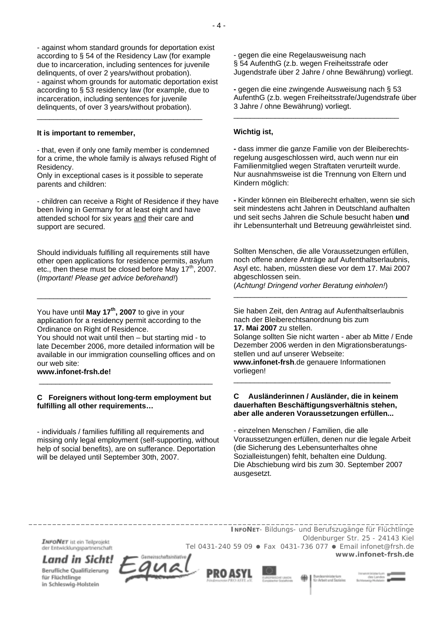- against whom standard grounds for deportation exist according to § 54 of the Residency Law (for example due to incarceration, including sentences for juvenile delinquents, of over 2 years/without probation). - against whom grounds for automatic deportation exist according to § 53 residency law (for example, due to incarceration, including sentences for juvenile delinquents, of over 3 years/without probation).

### **It is important to remember,**

- that, even if only one family member is condemned for a crime, the whole family is always refused Right of Residency.

Only in exceptional cases is it possible to seperate parents and children:

\_\_\_\_\_\_\_\_\_\_\_\_\_\_\_\_\_\_\_\_\_\_\_\_\_\_\_\_\_\_\_\_\_\_\_\_\_\_\_\_

- children can receive a Right of Residence if they have been living in Germany for at least eight and have attended school for six years and their care and support are secured.

Should individuals fulfilling all requirements still have other open applications for residence permits, asylum etc., then these must be closed before May  $17<sup>th</sup>$ , 2007. (*Important! Please get advice beforehand!*)

\_\_\_\_\_\_\_\_\_\_\_\_\_\_\_\_\_\_\_\_\_\_\_\_\_\_\_\_\_\_\_\_\_\_\_\_\_\_\_\_\_\_

You have until **May 17th, 2007** to give in your application for a residency permit according to the Ordinance on Right of Residence.

You should not wait until then – but starting mid - to late December 2006, more detailed information will be available in our immigration counselling offices and on our web site:

**www.infonet-frsh.de!**

### **C Foreigners without long-term employment but fulfilling all other requirements…**

\_\_\_\_\_\_\_\_\_\_\_\_\_\_\_\_\_\_\_\_\_\_\_\_\_\_\_\_\_\_\_\_\_\_\_\_\_\_\_\_\_\_

- individuals / families fulfilling all requirements and missing only legal employment (self-supporting, without help of social benefits), are on sufferance. Deportation will be delayed until September 30th, 2007.

- gegen die eine Regelausweisung nach § 54 AufenthG (z.b. wegen Freiheitsstrafe oder Jugendstrafe über 2 Jahre / ohne Bewährung) vorliegt.

**-** gegen die eine zwingende Ausweisung nach § 53 AufenthG (z.b. wegen Freiheitsstrafe/Jugendstrafe über 3 Jahre / ohne Bewährung) vorliegt.

\_\_\_\_\_\_\_\_\_\_\_\_\_\_\_\_\_\_\_\_\_\_\_\_\_\_\_\_\_\_\_\_\_\_\_\_\_\_\_\_

### **Wichtig ist,**

**-** dass immer die ganze Familie von der Bleiberechtsregelung ausgeschlossen wird, auch wenn nur ein Familienmitglied wegen Straftaten verurteilt wurde. Nur ausnahmsweise ist die Trennung von Eltern und Kindern möglich:

**-** Kinder können ein Bleiberecht erhalten, wenn sie sich seit mindestens acht Jahren in Deutschland aufhalten und seit sechs Jahren die Schule besucht haben **und** ihr Lebensunterhalt und Betreuung gewährleistet sind.

Sollten Menschen, die alle Voraussetzungen erfüllen, noch offene andere Anträge auf Aufenthaltserlaubnis, Asyl etc. haben, müssten diese vor dem 17. Mai 2007 abgeschlossen sein.

\_\_\_\_\_\_\_\_\_\_\_\_\_\_\_\_\_\_\_\_\_\_\_\_\_\_\_\_\_\_\_\_\_\_\_\_\_\_\_\_\_\_

(*Achtung! Dringend vorher Beratung einholen!*)

Sie haben Zeit, den Antrag auf Aufenthaltserlaubnis nach der Bleiberechtsanordnung bis zum **17. Mai 2007** zu stellen.

Solange sollten Sie nicht warten - aber ab Mitte / Ende Dezember 2006 werden in den Migrationsberatungsstellen und auf unserer Webseite:

**www.infonet-frsh**.de genauere Informationen vorliegen! \_\_\_\_\_\_\_\_\_\_\_\_\_\_\_\_\_\_\_\_\_\_\_\_\_\_\_\_\_\_\_\_\_\_\_\_\_\_

## **C Ausländerinnen / Ausländer, die in keinem dauerhaften Beschäftigungsverhältnis stehen, aber alle anderen Voraussetzungen erfüllen...**

- einzelnen Menschen / Familien, die alle Voraussetzungen erfüllen, denen nur die legale Arbeit (die Sicherung des Lebensunterhaltes ohne Sozialleistungen) fehlt, behalten eine Duldung. Die Abschiebung wird bis zum 30. September 2007 ausgesetzt.

*\_\_\_\_\_\_\_\_\_\_\_\_\_\_\_\_\_\_\_\_\_\_\_\_\_\_\_\_\_\_\_\_\_\_\_\_\_\_\_\_\_\_\_\_\_\_\_\_\_\_\_\_\_\_\_\_\_\_\_\_\_\_\_\_\_\_\_\_\_\_\_\_\_\_\_\_\_\_\_\_\_ INFONET*- *Bildungs- und Berufszugänge für Flüchtlinge* Oldenburger Str. 25 - 24143 Kiel **INFONET** ist ein Teilprojekt Tel 0431-240 59 09 · Fax 0431-736 077 · Email infonet@frsh.de der Entwicklungspartnerschaft **www.infonet-frsh.de** Land in Sicht!

Berufliche Qualifizierung für Flüchtlinge in Schleswig-Holstein

PRO ASYL